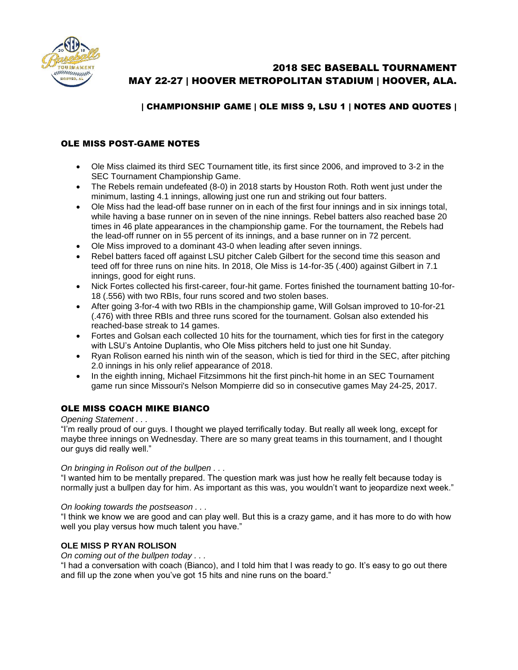

# 2018 SEC BASEBALL TOURNAMENT MAY 22-27 | HOOVER METROPOLITAN STADIUM | HOOVER, ALA.

# | CHAMPIONSHIP GAME | OLE MISS 9, LSU 1 | NOTES AND QUOTES |

# OLE MISS POST-GAME NOTES

- Ole Miss claimed its third SEC Tournament title, its first since 2006, and improved to 3-2 in the SEC Tournament Championship Game.
- The Rebels remain undefeated (8-0) in 2018 starts by Houston Roth. Roth went just under the minimum, lasting 4.1 innings, allowing just one run and striking out four batters.
- Ole Miss had the lead-off base runner on in each of the first four innings and in six innings total, while having a base runner on in seven of the nine innings. Rebel batters also reached base 20 times in 46 plate appearances in the championship game. For the tournament, the Rebels had the lead-off runner on in 55 percent of its innings, and a base runner on in 72 percent.
- Ole Miss improved to a dominant 43-0 when leading after seven innings.
- Rebel batters faced off against LSU pitcher Caleb Gilbert for the second time this season and teed off for three runs on nine hits. In 2018, Ole Miss is 14-for-35 (.400) against Gilbert in 7.1 innings, good for eight runs.
- Nick Fortes collected his first-career, four-hit game. Fortes finished the tournament batting 10-for-18 (.556) with two RBIs, four runs scored and two stolen bases.
- After going 3-for-4 with two RBIs in the championship game, Will Golsan improved to 10-for-21 (.476) with three RBIs and three runs scored for the tournament. Golsan also extended his reached-base streak to 14 games.
- Fortes and Golsan each collected 10 hits for the tournament, which ties for first in the category with LSU's Antoine Duplantis, who Ole Miss pitchers held to just one hit Sunday.
- Ryan Rolison earned his ninth win of the season, which is tied for third in the SEC, after pitching 2.0 innings in his only relief appearance of 2018.
- In the eighth inning, Michael Fitzsimmons hit the first pinch-hit home in an SEC Tournament game run since Missouri's Nelson Mompierre did so in consecutive games May 24-25, 2017.

# OLE MISS COACH MIKE BIANCO

#### *Opening Statement . . .*

"I'm really proud of our guys. I thought we played terrifically today. But really all week long, except for maybe three innings on Wednesday. There are so many great teams in this tournament, and I thought our guys did really well."

#### *On bringing in Rolison out of the bullpen . . .*

"I wanted him to be mentally prepared. The question mark was just how he really felt because today is normally just a bullpen day for him. As important as this was, you wouldn't want to jeopardize next week."

#### *On looking towards the postseason . . .*

"I think we know we are good and can play well. But this is a crazy game, and it has more to do with how well you play versus how much talent you have."

### **OLE MISS P RYAN ROLISON**

*On coming out of the bullpen today . . .*

"I had a conversation with coach (Bianco), and I told him that I was ready to go. It's easy to go out there and fill up the zone when you've got 15 hits and nine runs on the board."